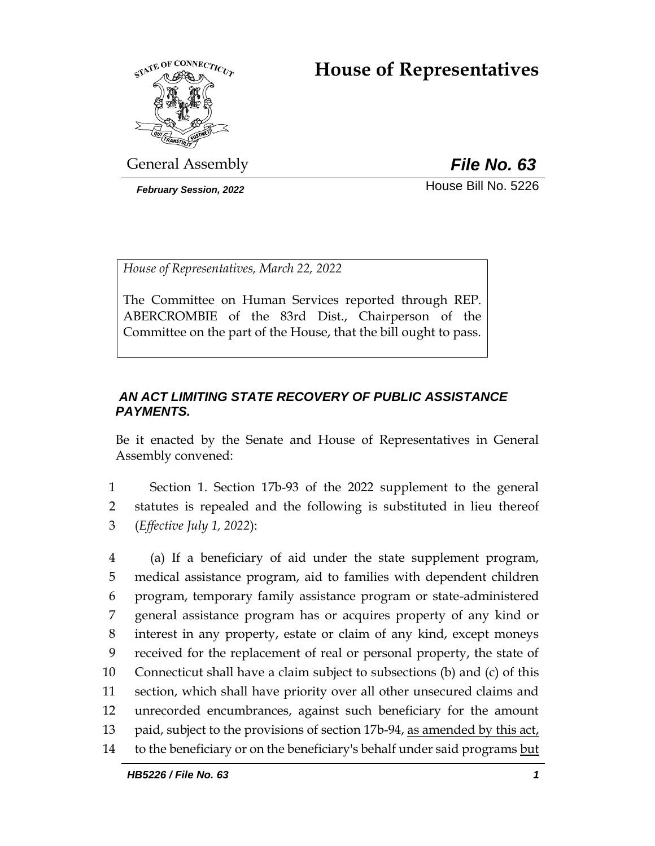# **House of Representatives**



General Assembly *File No. 63*

**February Session, 2022 House Bill No. 5226** 

*House of Representatives, March 22, 2022*

The Committee on Human Services reported through REP. ABERCROMBIE of the 83rd Dist., Chairperson of the Committee on the part of the House, that the bill ought to pass.

# *AN ACT LIMITING STATE RECOVERY OF PUBLIC ASSISTANCE PAYMENTS.*

Be it enacted by the Senate and House of Representatives in General Assembly convened:

1 Section 1. Section 17b-93 of the 2022 supplement to the general 2 statutes is repealed and the following is substituted in lieu thereof 3 (*Effective July 1, 2022*):

 (a) If a beneficiary of aid under the state supplement program, medical assistance program, aid to families with dependent children program, temporary family assistance program or state-administered general assistance program has or acquires property of any kind or interest in any property, estate or claim of any kind, except moneys received for the replacement of real or personal property, the state of Connecticut shall have a claim subject to subsections (b) and (c) of this section, which shall have priority over all other unsecured claims and unrecorded encumbrances, against such beneficiary for the amount paid, subject to the provisions of section 17b-94, as amended by this act, to the beneficiary or on the beneficiary's behalf under said programs but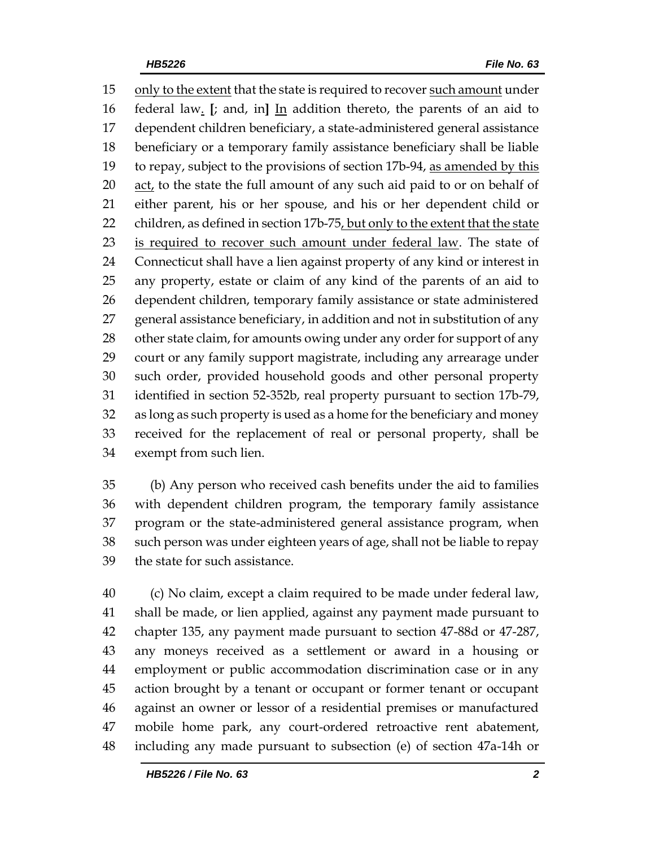only to the extent that the state is required to recover such amount under federal law. **[**; and, in**]** In addition thereto, the parents of an aid to dependent children beneficiary, a state-administered general assistance beneficiary or a temporary family assistance beneficiary shall be liable 19 to repay, subject to the provisions of section 17b-94, as amended by this 20 act, to the state the full amount of any such aid paid to or on behalf of either parent, his or her spouse, and his or her dependent child or 22 children, as defined in section 17b-75, but only to the extent that the state is required to recover such amount under federal law. The state of Connecticut shall have a lien against property of any kind or interest in any property, estate or claim of any kind of the parents of an aid to dependent children, temporary family assistance or state administered general assistance beneficiary, in addition and not in substitution of any 28 other state claim, for amounts owing under any order for support of any court or any family support magistrate, including any arrearage under such order, provided household goods and other personal property identified in section 52-352b, real property pursuant to section 17b-79, as long as such property is used as a home for the beneficiary and money received for the replacement of real or personal property, shall be exempt from such lien.

 (b) Any person who received cash benefits under the aid to families with dependent children program, the temporary family assistance program or the state-administered general assistance program, when such person was under eighteen years of age, shall not be liable to repay the state for such assistance.

 (c) No claim, except a claim required to be made under federal law, shall be made, or lien applied, against any payment made pursuant to chapter 135, any payment made pursuant to section 47-88d or 47-287, any moneys received as a settlement or award in a housing or employment or public accommodation discrimination case or in any action brought by a tenant or occupant or former tenant or occupant against an owner or lessor of a residential premises or manufactured mobile home park, any court-ordered retroactive rent abatement, including any made pursuant to subsection (e) of section 47a-14h or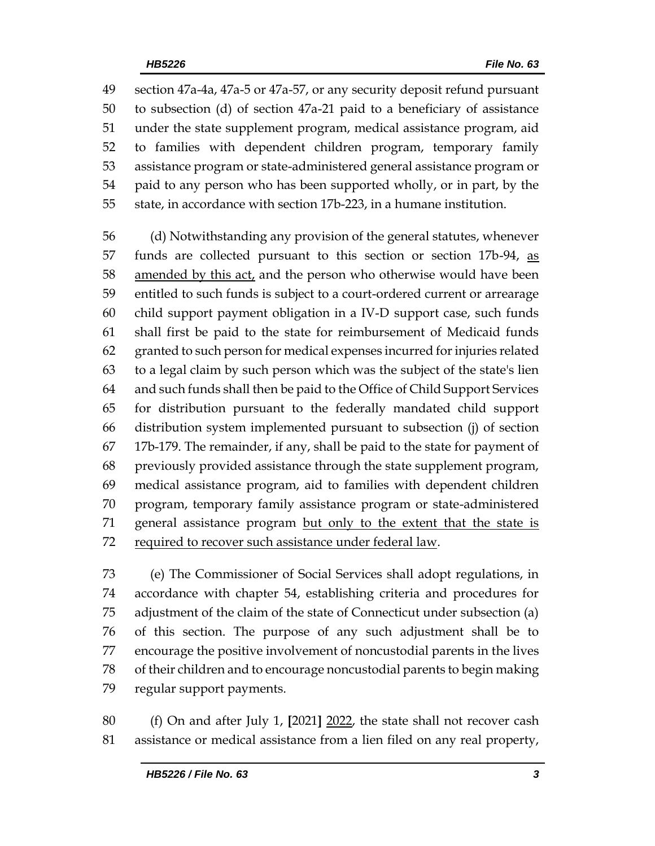section 47a-4a, 47a-5 or 47a-57, or any security deposit refund pursuant to subsection (d) of section 47a-21 paid to a beneficiary of assistance under the state supplement program, medical assistance program, aid to families with dependent children program, temporary family assistance program or state-administered general assistance program or paid to any person who has been supported wholly, or in part, by the state, in accordance with section 17b-223, in a humane institution.

 (d) Notwithstanding any provision of the general statutes, whenever 57 funds are collected pursuant to this section or section 17b-94, as 58 amended by this act, and the person who otherwise would have been entitled to such funds is subject to a court-ordered current or arrearage child support payment obligation in a IV-D support case, such funds shall first be paid to the state for reimbursement of Medicaid funds granted to such person for medical expenses incurred for injuries related to a legal claim by such person which was the subject of the state's lien and such funds shall then be paid to the Office of Child Support Services for distribution pursuant to the federally mandated child support distribution system implemented pursuant to subsection (j) of section 17b-179. The remainder, if any, shall be paid to the state for payment of previously provided assistance through the state supplement program, medical assistance program, aid to families with dependent children program, temporary family assistance program or state-administered general assistance program but only to the extent that the state is required to recover such assistance under federal law.

 (e) The Commissioner of Social Services shall adopt regulations, in accordance with chapter 54, establishing criteria and procedures for adjustment of the claim of the state of Connecticut under subsection (a) of this section. The purpose of any such adjustment shall be to encourage the positive involvement of noncustodial parents in the lives of their children and to encourage noncustodial parents to begin making regular support payments.

 (f) On and after July 1, **[**2021**]** 2022, the state shall not recover cash assistance or medical assistance from a lien filed on any real property,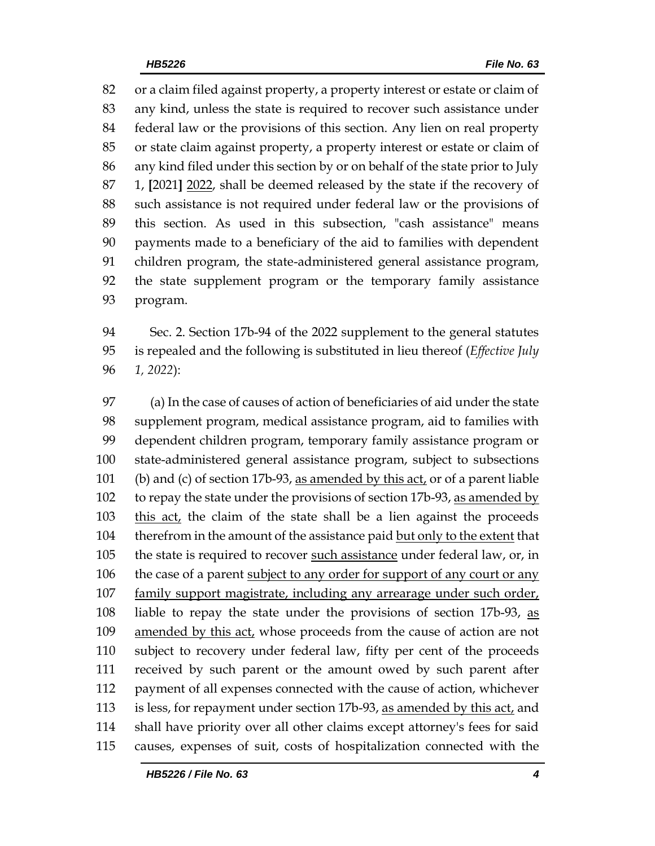or a claim filed against property, a property interest or estate or claim of any kind, unless the state is required to recover such assistance under federal law or the provisions of this section. Any lien on real property or state claim against property, a property interest or estate or claim of any kind filed under this section by or on behalf of the state prior to July 1, **[**2021**]** 2022, shall be deemed released by the state if the recovery of such assistance is not required under federal law or the provisions of this section. As used in this subsection, "cash assistance" means payments made to a beneficiary of the aid to families with dependent children program, the state-administered general assistance program, the state supplement program or the temporary family assistance program.

 Sec. 2. Section 17b-94 of the 2022 supplement to the general statutes is repealed and the following is substituted in lieu thereof (*Effective July 1, 2022*):

 (a) In the case of causes of action of beneficiaries of aid under the state supplement program, medical assistance program, aid to families with dependent children program, temporary family assistance program or state-administered general assistance program, subject to subsections 101 (b) and (c) of section 17b-93, as amended by this act, or of a parent liable 102 to repay the state under the provisions of section 17b-93, as amended by this act, the claim of the state shall be a lien against the proceeds therefrom in the amount of the assistance paid but only to the extent that the state is required to recover such assistance under federal law, or, in 106 the case of a parent subject to any order for support of any court or any family support magistrate, including any arrearage under such order, liable to repay the state under the provisions of section 17b-93, as 109 amended by this act, whose proceeds from the cause of action are not subject to recovery under federal law, fifty per cent of the proceeds received by such parent or the amount owed by such parent after payment of all expenses connected with the cause of action, whichever 113 is less, for repayment under section 17b-93, as amended by this act, and shall have priority over all other claims except attorney's fees for said causes, expenses of suit, costs of hospitalization connected with the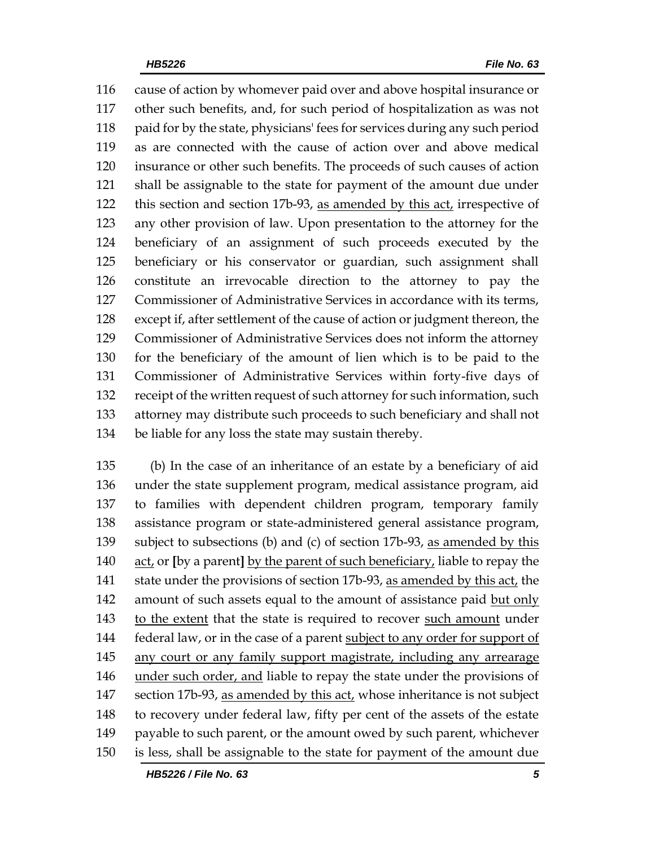cause of action by whomever paid over and above hospital insurance or other such benefits, and, for such period of hospitalization as was not paid for by the state, physicians' fees for services during any such period as are connected with the cause of action over and above medical insurance or other such benefits. The proceeds of such causes of action shall be assignable to the state for payment of the amount due under this section and section 17b-93, as amended by this act, irrespective of any other provision of law. Upon presentation to the attorney for the beneficiary of an assignment of such proceeds executed by the beneficiary or his conservator or guardian, such assignment shall constitute an irrevocable direction to the attorney to pay the Commissioner of Administrative Services in accordance with its terms, except if, after settlement of the cause of action or judgment thereon, the Commissioner of Administrative Services does not inform the attorney for the beneficiary of the amount of lien which is to be paid to the Commissioner of Administrative Services within forty-five days of receipt of the written request of such attorney for such information, such attorney may distribute such proceeds to such beneficiary and shall not be liable for any loss the state may sustain thereby.

 (b) In the case of an inheritance of an estate by a beneficiary of aid under the state supplement program, medical assistance program, aid to families with dependent children program, temporary family assistance program or state-administered general assistance program, subject to subsections (b) and (c) of section 17b-93, as amended by this act, or **[**by a parent**]** by the parent of such beneficiary, liable to repay the 141 state under the provisions of section 17b-93, as amended by this act, the amount of such assets equal to the amount of assistance paid but only 143 to the extent that the state is required to recover such amount under 144 federal law, or in the case of a parent subject to any order for support of any court or any family support magistrate, including any arrearage under such order, and liable to repay the state under the provisions of section 17b-93, as amended by this act, whose inheritance is not subject to recovery under federal law, fifty per cent of the assets of the estate payable to such parent, or the amount owed by such parent, whichever is less, shall be assignable to the state for payment of the amount due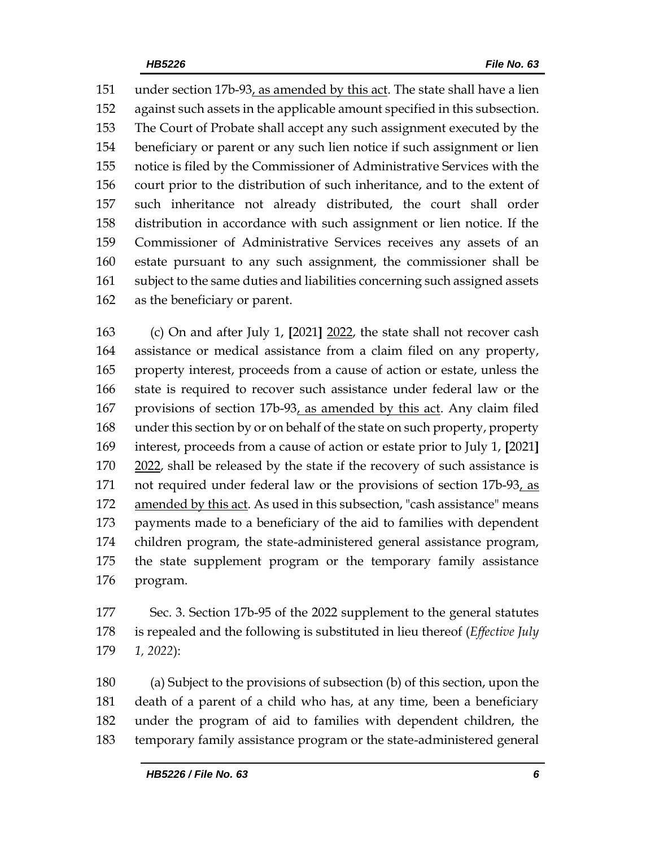under section 17b-93, as amended by this act. The state shall have a lien against such assets in the applicable amount specified in this subsection. The Court of Probate shall accept any such assignment executed by the beneficiary or parent or any such lien notice if such assignment or lien notice is filed by the Commissioner of Administrative Services with the court prior to the distribution of such inheritance, and to the extent of such inheritance not already distributed, the court shall order distribution in accordance with such assignment or lien notice. If the Commissioner of Administrative Services receives any assets of an estate pursuant to any such assignment, the commissioner shall be subject to the same duties and liabilities concerning such assigned assets as the beneficiary or parent.

 (c) On and after July 1, **[**2021**]** 2022, the state shall not recover cash assistance or medical assistance from a claim filed on any property, property interest, proceeds from a cause of action or estate, unless the state is required to recover such assistance under federal law or the provisions of section 17b-93, as amended by this act. Any claim filed under this section by or on behalf of the state on such property, property interest, proceeds from a cause of action or estate prior to July 1, **[**2021**]** 170 2022, shall be released by the state if the recovery of such assistance is 171 not required under federal law or the provisions of section 17b-93, as 172 amended by this act. As used in this subsection, "cash assistance" means payments made to a beneficiary of the aid to families with dependent children program, the state-administered general assistance program, the state supplement program or the temporary family assistance program.

 Sec. 3. Section 17b-95 of the 2022 supplement to the general statutes is repealed and the following is substituted in lieu thereof (*Effective July 1, 2022*):

 (a) Subject to the provisions of subsection (b) of this section, upon the death of a parent of a child who has, at any time, been a beneficiary under the program of aid to families with dependent children, the temporary family assistance program or the state-administered general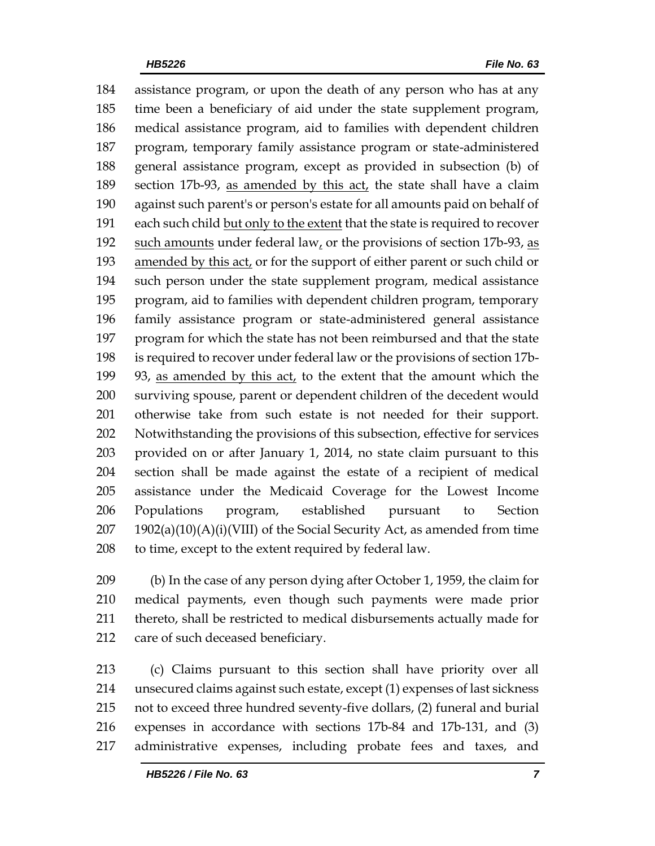assistance program, or upon the death of any person who has at any time been a beneficiary of aid under the state supplement program, medical assistance program, aid to families with dependent children program, temporary family assistance program or state-administered general assistance program, except as provided in subsection (b) of 189 section 17b-93, as amended by this act, the state shall have a claim against such parent's or person's estate for all amounts paid on behalf of each such child but only to the extent that the state is required to recover such amounts under federal law, or the provisions of section 17b-93, as 193 amended by this act, or for the support of either parent or such child or such person under the state supplement program, medical assistance program, aid to families with dependent children program, temporary family assistance program or state-administered general assistance program for which the state has not been reimbursed and that the state is required to recover under federal law or the provisions of section 17b- 93, as amended by this act, to the extent that the amount which the surviving spouse, parent or dependent children of the decedent would otherwise take from such estate is not needed for their support. Notwithstanding the provisions of this subsection, effective for services provided on or after January 1, 2014, no state claim pursuant to this section shall be made against the estate of a recipient of medical assistance under the Medicaid Coverage for the Lowest Income Populations program, established pursuant to Section 1902(a)(10)(A)(i)(VIII) of the Social Security Act, as amended from time to time, except to the extent required by federal law.

 (b) In the case of any person dying after October 1, 1959, the claim for medical payments, even though such payments were made prior thereto, shall be restricted to medical disbursements actually made for care of such deceased beneficiary.

 (c) Claims pursuant to this section shall have priority over all unsecured claims against such estate, except (1) expenses of last sickness not to exceed three hundred seventy-five dollars, (2) funeral and burial expenses in accordance with sections 17b-84 and 17b-131, and (3) administrative expenses, including probate fees and taxes, and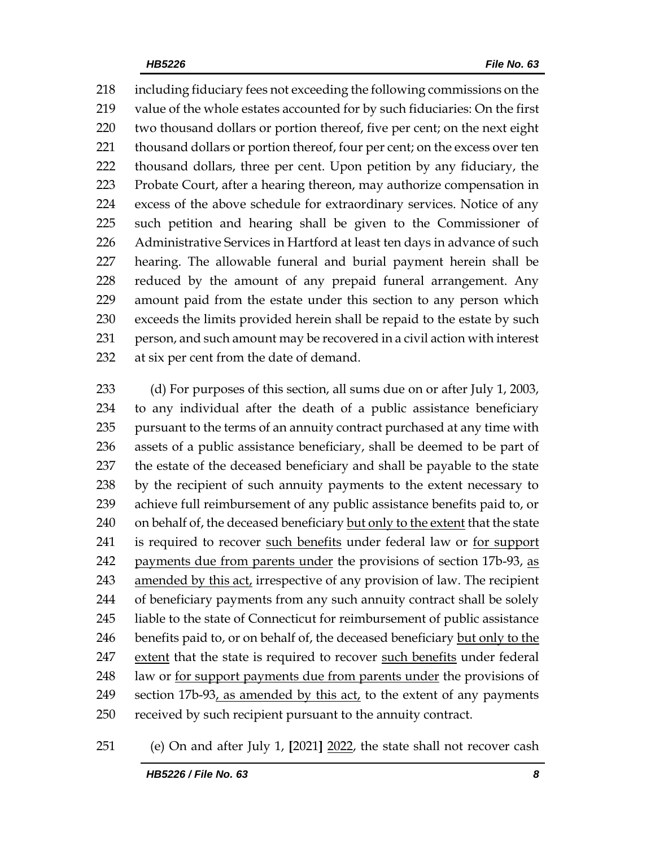including fiduciary fees not exceeding the following commissions on the value of the whole estates accounted for by such fiduciaries: On the first two thousand dollars or portion thereof, five per cent; on the next eight 221 thousand dollars or portion thereof, four per cent; on the excess over ten thousand dollars, three per cent. Upon petition by any fiduciary, the Probate Court, after a hearing thereon, may authorize compensation in excess of the above schedule for extraordinary services. Notice of any such petition and hearing shall be given to the Commissioner of Administrative Services in Hartford at least ten days in advance of such hearing. The allowable funeral and burial payment herein shall be reduced by the amount of any prepaid funeral arrangement. Any amount paid from the estate under this section to any person which exceeds the limits provided herein shall be repaid to the estate by such person, and such amount may be recovered in a civil action with interest at six per cent from the date of demand.

 (d) For purposes of this section, all sums due on or after July 1, 2003, to any individual after the death of a public assistance beneficiary 235 pursuant to the terms of an annuity contract purchased at any time with assets of a public assistance beneficiary, shall be deemed to be part of the estate of the deceased beneficiary and shall be payable to the state by the recipient of such annuity payments to the extent necessary to achieve full reimbursement of any public assistance benefits paid to, or 240 on behalf of, the deceased beneficiary but only to the extent that the state is required to recover such benefits under federal law or for support 242 payments due from parents under the provisions of section 17b-93, as amended by this act, irrespective of any provision of law. The recipient of beneficiary payments from any such annuity contract shall be solely liable to the state of Connecticut for reimbursement of public assistance 246 benefits paid to, or on behalf of, the deceased beneficiary but only to the 247 extent that the state is required to recover such benefits under federal law or for support payments due from parents under the provisions of section 17b-93, as amended by this act, to the extent of any payments received by such recipient pursuant to the annuity contract.

(e) On and after July 1, **[**2021**]** 2022, the state shall not recover cash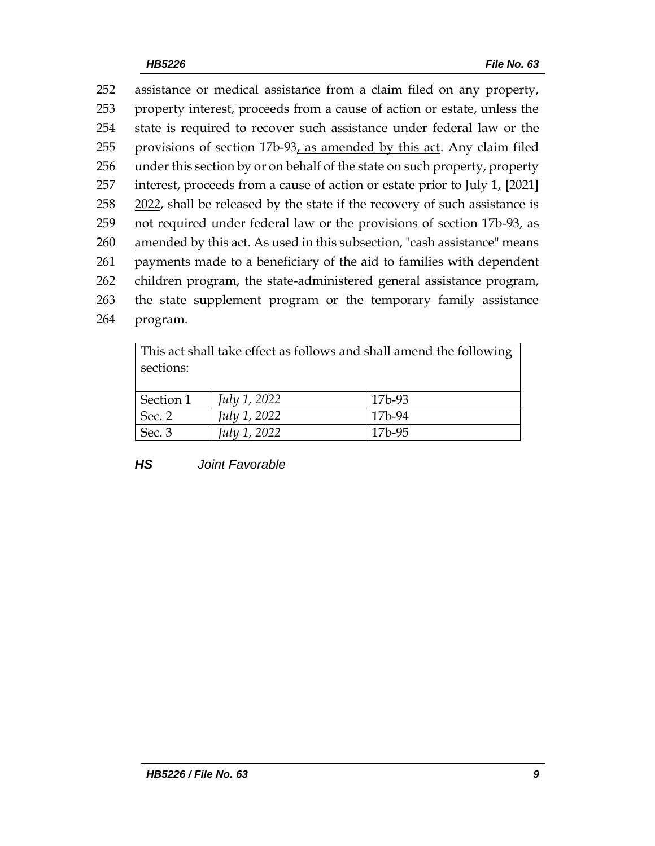assistance or medical assistance from a claim filed on any property, property interest, proceeds from a cause of action or estate, unless the state is required to recover such assistance under federal law or the provisions of section 17b-93, as amended by this act. Any claim filed under this section by or on behalf of the state on such property, property interest, proceeds from a cause of action or estate prior to July 1, **[**2021**]** 258 2022, shall be released by the state if the recovery of such assistance is not required under federal law or the provisions of section 17b-93, as amended by this act. As used in this subsection, "cash assistance" means payments made to a beneficiary of the aid to families with dependent children program, the state-administered general assistance program, the state supplement program or the temporary family assistance 264 program.

This act shall take effect as follows and shall amend the following sections: Section 1 *July 1, 2022* 17b-93 Sec. 2 *July 1, 2022* 17b-94 Sec. 3 *July 1, 2022* 17b-95

*HS Joint Favorable*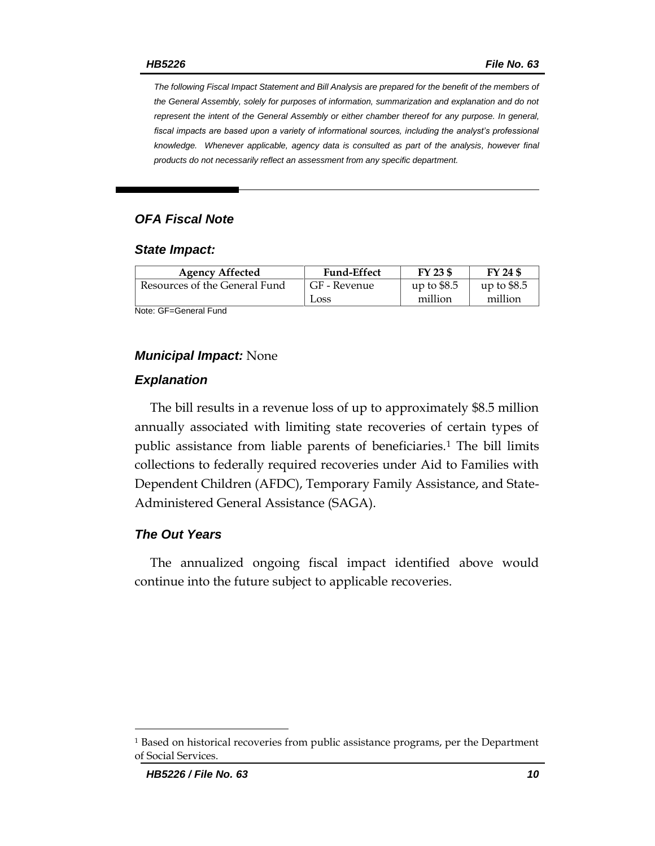*The following Fiscal Impact Statement and Bill Analysis are prepared for the benefit of the members of the General Assembly, solely for purposes of information, summarization and explanation and do not represent the intent of the General Assembly or either chamber thereof for any purpose. In general,*  fiscal impacts are based upon a variety of informational sources, including the analyst's professional *knowledge. Whenever applicable, agency data is consulted as part of the analysis, however final products do not necessarily reflect an assessment from any specific department.*

### *OFA Fiscal Note*

#### *State Impact:*

| <b>Agency Affected</b>        | <b>Fund-Effect</b> | FY 23 \$     | FY 24 \$     |
|-------------------------------|--------------------|--------------|--------------|
| Resources of the General Fund | GF - Revenue       | up to $$8.5$ | up to $$8.5$ |
|                               | Loss               | million      | million      |

Note: GF=General Fund

#### *Municipal Impact:* None

#### *Explanation*

The bill results in a revenue loss of up to approximately \$8.5 million annually associated with limiting state recoveries of certain types of public assistance from liable parents of beneficiaries.<sup>1</sup> The bill limits collections to federally required recoveries under Aid to Families with Dependent Children (AFDC), Temporary Family Assistance, and State-Administered General Assistance (SAGA).

### *The Out Years*

The annualized ongoing fiscal impact identified above would continue into the future subject to applicable recoveries.

<sup>1</sup> Based on historical recoveries from public assistance programs, per the Department of Social Services.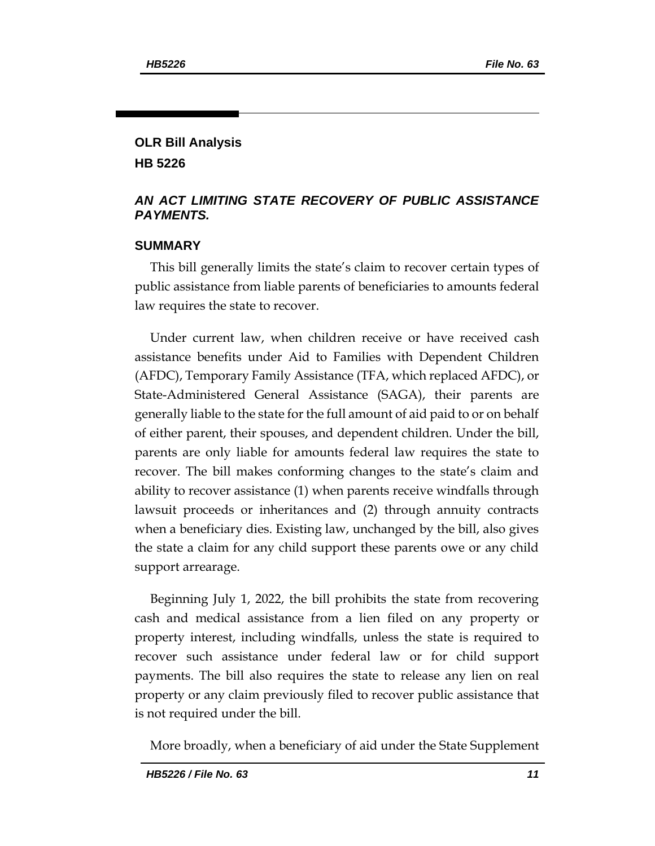# **OLR Bill Analysis HB 5226**

## *AN ACT LIMITING STATE RECOVERY OF PUBLIC ASSISTANCE PAYMENTS.*

# **SUMMARY**

This bill generally limits the state's claim to recover certain types of public assistance from liable parents of beneficiaries to amounts federal law requires the state to recover.

Under current law, when children receive or have received cash assistance benefits under Aid to Families with Dependent Children (AFDC), Temporary Family Assistance (TFA, which replaced AFDC), or State-Administered General Assistance (SAGA), their parents are generally liable to the state for the full amount of aid paid to or on behalf of either parent, their spouses, and dependent children. Under the bill, parents are only liable for amounts federal law requires the state to recover. The bill makes conforming changes to the state's claim and ability to recover assistance (1) when parents receive windfalls through lawsuit proceeds or inheritances and (2) through annuity contracts when a beneficiary dies. Existing law, unchanged by the bill, also gives the state a claim for any child support these parents owe or any child support arrearage.

Beginning July 1, 2022, the bill prohibits the state from recovering cash and medical assistance from a lien filed on any property or property interest, including windfalls, unless the state is required to recover such assistance under federal law or for child support payments. The bill also requires the state to release any lien on real property or any claim previously filed to recover public assistance that is not required under the bill.

More broadly, when a beneficiary of aid under the State Supplement